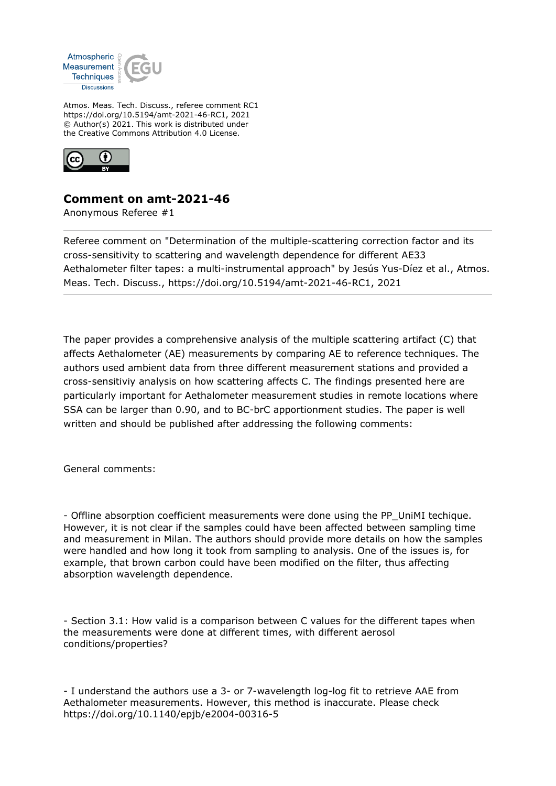

Atmos. Meas. Tech. Discuss., referee comment RC1 https://doi.org/10.5194/amt-2021-46-RC1, 2021 © Author(s) 2021. This work is distributed under the Creative Commons Attribution 4.0 License.



## **Comment on amt-2021-46**

Anonymous Referee #1

Referee comment on "Determination of the multiple-scattering correction factor and its cross-sensitivity to scattering and wavelength dependence for different AE33 Aethalometer filter tapes: a multi-instrumental approach" by Jesús Yus-Díez et al., Atmos. Meas. Tech. Discuss., https://doi.org/10.5194/amt-2021-46-RC1, 2021

The paper provides a comprehensive analysis of the multiple scattering artifact (C) that affects Aethalometer (AE) measurements by comparing AE to reference techniques. The authors used ambient data from three different measurement stations and provided a cross-sensitiviy analysis on how scattering affects C. The findings presented here are particularly important for Aethalometer measurement studies in remote locations where SSA can be larger than 0.90, and to BC-brC apportionment studies. The paper is well written and should be published after addressing the following comments:

General comments:

- Offline absorption coefficient measurements were done using the PP\_UniMI techique. However, it is not clear if the samples could have been affected between sampling time and measurement in Milan. The authors should provide more details on how the samples were handled and how long it took from sampling to analysis. One of the issues is, for example, that brown carbon could have been modified on the filter, thus affecting absorption wavelength dependence.

- Section 3.1: How valid is a comparison between C values for the different tapes when the measurements were done at different times, with different aerosol conditions/properties?

- I understand the authors use a 3- or 7-wavelength log-log fit to retrieve AAE from Aethalometer measurements. However, this method is inaccurate. Please check https://doi.org/10.1140/epjb/e2004-00316-5